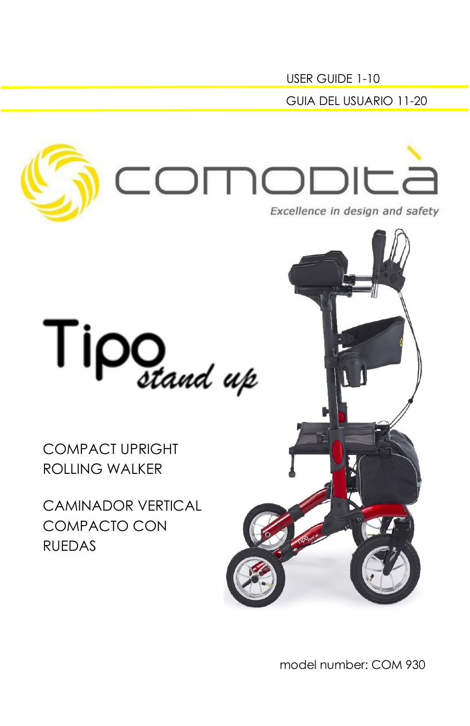GUIA DEL USUARIO 11-20 OMODIC Excellence in design and safety



COMPACT UPRIGHT ROLLING WALKER

CAMINADOR VERTICAL COMPACTO CON RUEDAS



USER GUIDE 1-10

model number: COM 930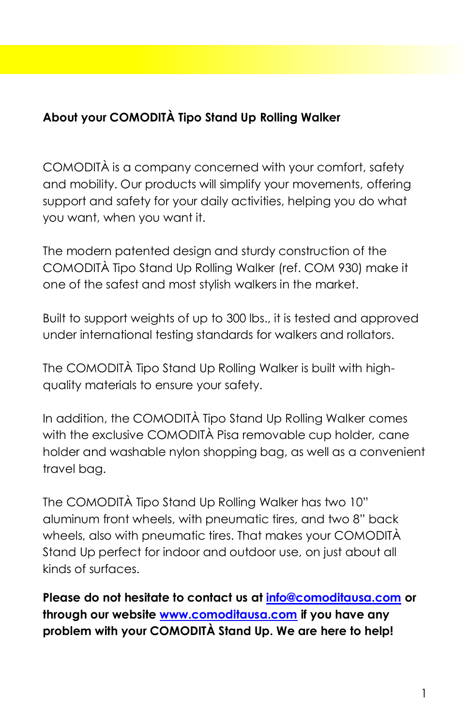# **About your COMODITÀ Tipo Stand Up Rolling Walker**

COMODITÀ is a company concerned with your comfort, safety and mobility. Our products will simplify your movements, offering support and safety for your daily activities, helping you do what you want, when you want it.

The modern patented design and sturdy construction of the COMODITÀ Tipo Stand Up Rolling Walker (ref. COM 930) make it one of the safest and most stylish walkers in the market.

Built to support weights of up to 300 lbs., it is tested and approved under international testing standards for walkers and rollators.

The COMODITÀ Tipo Stand Up Rolling Walker is built with highquality materials to ensure your safety.

In addition, the COMODITÀ Tipo Stand Up Rolling Walker comes with the exclusive COMODITÀ Pisa removable cup holder, cane holder and washable nylon shopping bag, as well as a convenient travel bag.

The COMODITÀ Tipo Stand Up Rolling Walker has two 10" aluminum front wheels, with pneumatic tires, and two 8" back wheels, also with pneumatic tires. That makes your COMODITÀ Stand Up perfect for indoor and outdoor use, on just about all kinds of surfaces.

**Please do not hesitate to contact us at [info@comoditausa.com](about:blank) or through our website [www.comoditausa.com](about:blank) if you have any problem with your COMODITÀ Stand Up. We are here to help!**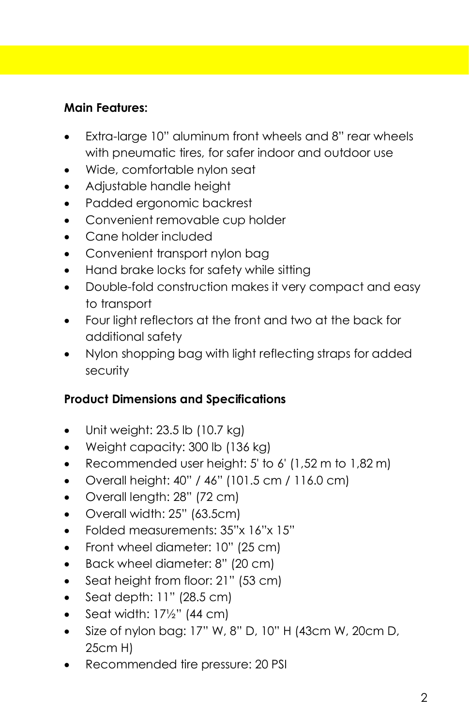# **Main Features:**

- Extra-large 10" aluminum front wheels and 8" rear wheels with pneumatic tires, for safer indoor and outdoor use
- Wide, comfortable nylon seat
- Adjustable handle height
- Padded ergonomic backrest
- Convenient removable cup holder
- Cane holder included
- Convenient transport nylon bag
- Hand brake locks for safety while sitting
- Double-fold construction makes it very compact and easy to transport
- Four light reflectors at the front and two at the back for additional safety
- Nylon shopping bag with light reflecting straps for added security

# **Product Dimensions and Specifications**

- Unit weight:  $23.5$  lb  $(10.7 \text{ kg})$
- Weight capacity: 300 lb (136 kg)
- Recommended user height: 5' to 6' (1,52 m to 1,82 m)
- Overall height: 40" / 46" (101.5 cm / 116.0 cm)
- Overall length: 28" (72 cm)
- Overall width: 25" (63.5cm)
- Folded measurements: 35"x 16"x 15"
- Front wheel diameter: 10" (25 cm)
- Back wheel diameter: 8" (20 cm)
- Seat height from floor: 21" (53 cm)
- $\bullet$  Seat depth: 11" (28.5 cm)
- Seat width:  $17\frac{1}{2}$ " (44 cm)
- Size of nylon bag: 17" W, 8" D, 10" H (43cm W, 20cm D, 25cm H)
- Recommended tire pressure: 20 PSI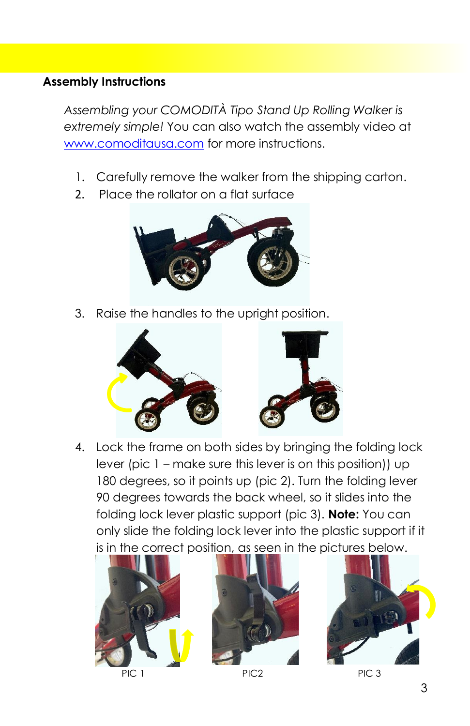#### **Assembly Instructions**

*Assembling your COMODITÀ Tipo Stand Up Rolling Walker is extremely simple!* You can also watch the assembly video at [www.comoditausa.com](about:blank) for more instructions.

- 1. Carefully remove the walker from the shipping carton.
- 2. Place the rollator on a flat surface



3. Raise the handles to the upright position.



4. Lock the frame on both sides by bringing the folding lock lever (pic 1 – make sure this lever is on this position)) up 180 degrees, so it points up (pic 2). Turn the folding lever 90 degrees towards the back wheel, so it slides into the folding lock lever plastic support (pic 3). **Note:** You can only slide the folding lock lever into the plastic support if it is in the correct position, as seen in the pictures below.









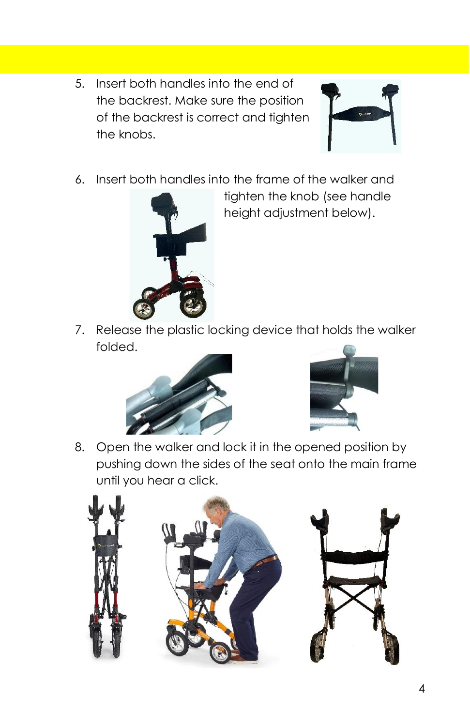5. Insert both handles into the end of the backrest. Make sure the position of the backrest is correct and tighten the knobs.



6. Insert both handles into the frame of the walker and



tighten the knob (see handle height adjustment below).

7. Release the plastic locking device that holds the walker folded.





8. Open the walker and lock it in the opened position by pushing down the sides of the seat onto the main frame until you hear a click.

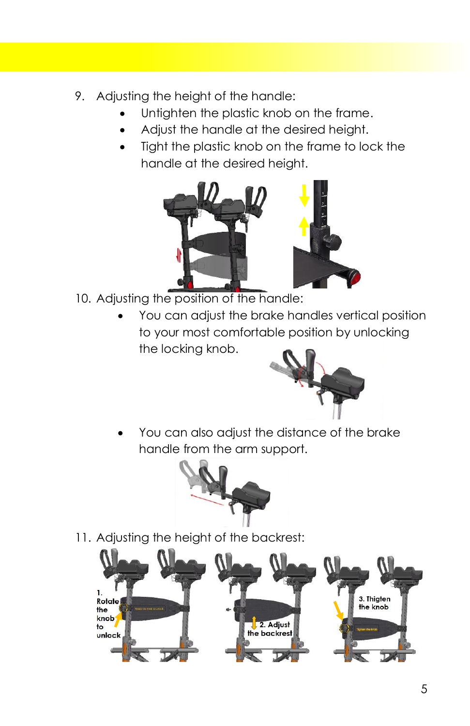- 9. Adjusting the height of the handle:
	- Untighten the plastic knob on the frame.
	- Adjust the handle at the desired height.
	- Tight the plastic knob on the frame to lock the handle at the desired height.



- 10. Adjusting the position of the handle:
	- You can adjust the brake handles vertical position to your most comfortable position by unlocking the locking knob.



You can also adjust the distance of the brake handle from the arm support.



11. Adjusting the height of the backrest:

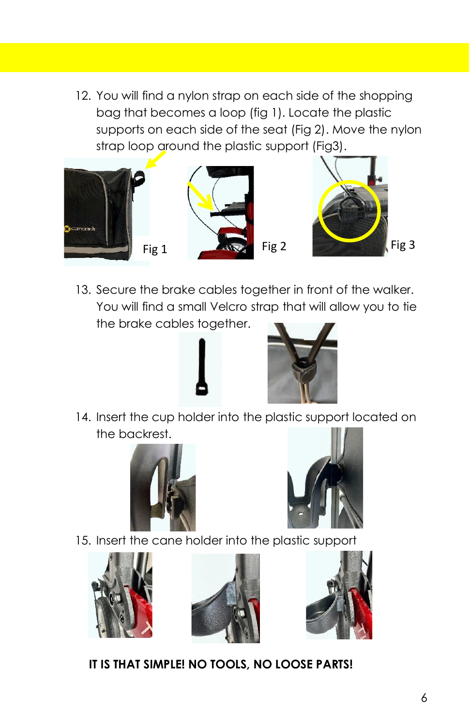12. You will find a nylon strap on each side of the shopping bag that becomes a loop (fig 1). Locate the plastic supports on each side of the seat (Fig 2). Move the nylon strap loop around the plastic support (Fig3).



13. Secure the brake cables together in front of the walker. You will find a small Velcro strap that will allow you to tie the brake cables together.





14. Insert the cup holder into the plastic support located on the backrest.





15. Insert the cane holder into the plastic support







**IT IS THAT SIMPLE! NO TOOLS, NO LOOSE PARTS!**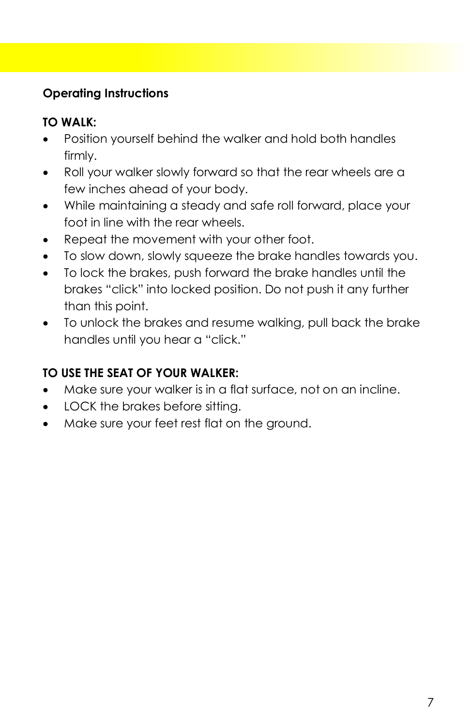# **Operating Instructions**

# **TO WALK:**

- Position yourself behind the walker and hold both handles firmly.
- Roll your walker slowly forward so that the rear wheels are a few inches ahead of your body.
- While maintaining a steady and safe roll forward, place your foot in line with the rear wheels.
- Repeat the movement with your other foot.
- To slow down, slowly squeeze the brake handles towards you.
- To lock the brakes, push forward the brake handles until the brakes "click" into locked position. Do not push it any further than this point.
- To unlock the brakes and resume walking, pull back the brake handles until you hear a "click."

# **TO USE THE SEAT OF YOUR WALKER:**

- Make sure your walker is in a flat surface, not on an incline.
- LOCK the brakes before sitting.
- Make sure your feet rest flat on the ground.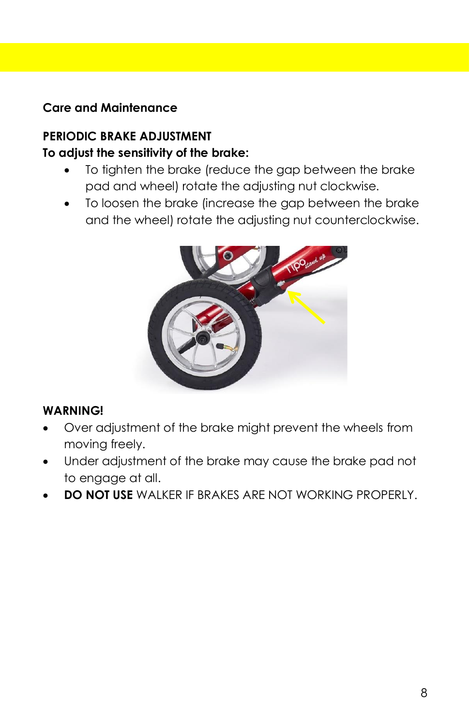## **Care and Maintenance**

#### **PERIODIC BRAKE ADJUSTMENT To adjust the sensitivity of the brake:**

- To tighten the brake (reduce the gap between the brake pad and wheel) rotate the adjusting nut clockwise.
- To loosen the brake (increase the gap between the brake and the wheel) rotate the adjusting nut counterclockwise.



#### **WARNING!**

- Over adjustment of the brake might prevent the wheels from moving freely.
- Under adjustment of the brake may cause the brake pad not to engage at all.
- **DO NOT USE** WALKER IF BRAKES ARE NOT WORKING PROPERLY.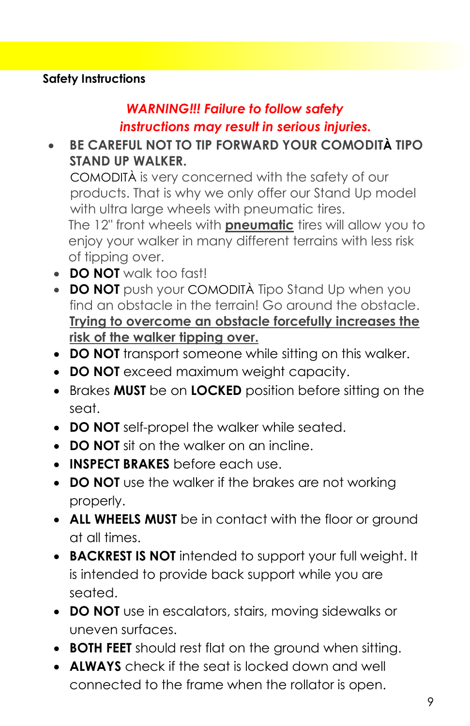#### **Safety Instructions**

# *WARNING!!! Failure to follow safety*

## *instructions may result in serious injuries.*

# • **BE CAREFUL NOT TO TIP FORWARD YOUR COMODITÀ TIPO STAND UP WALKER.**

 COMODITÀ is very concerned with the safety of our products. That is why we only offer our Stand Up model with ultra large wheels with pneumatic tires. The 12" front wheels with **pneumatic** tires will allow you to

 enjoy your walker in many different terrains with less risk of tipping over.

- **DO NOT** walk too fast!
- **DO NOT** push your COMODITÀ Tipo Stand Up when you find an obstacle in the terrain! Go around the obstacle. **Trying to overcome an obstacle forcefully increases the risk of the walker tipping over.**
- **DO NOT** transport someone while sitting on this walker.
- **DO NOT** exceed maximum weight capacity.
- Brakes **MUST** be on **LOCKED** position before sitting on the seat.
- **DO NOT** self-propel the walker while seated.
- **DO NOT** sit on the walker on an incline.
- **INSPECT BRAKES** before each use.
- **DO NOT** use the walker if the brakes are not working properly.
- **ALL WHEELS MUST** be in contact with the floor or ground at all times.
- **BACKREST IS NOT** intended to support your full weight. It is intended to provide back support while you are seated.
- **DO NOT** use in escalators, stairs, moving sidewalks or uneven surfaces.
- **BOTH FEET** should rest flat on the ground when sitting.
- **ALWAYS** check if the seat is locked down and well connected to the frame when the rollator is open.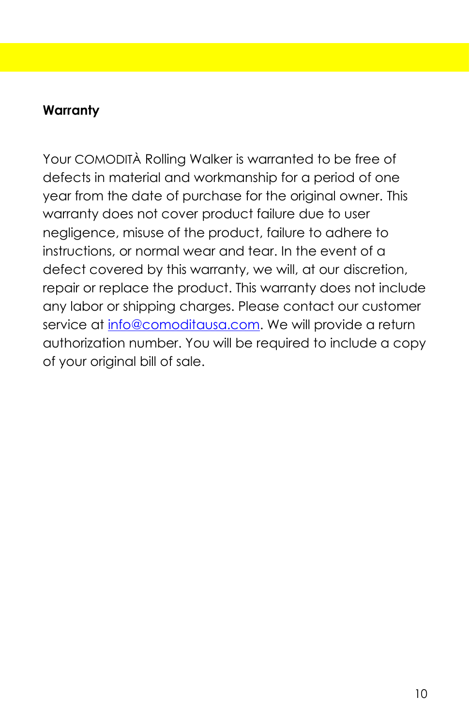# **Warranty**

Your COMODITÀ Rolling Walker is warranted to be free of defects in material and workmanship for a period of one year from the date of purchase for the original owner. This warranty does not cover product failure due to user negligence, misuse of the product, failure to adhere to instructions, or normal wear and tear. In the event of a defect covered by this warranty, we will, at our discretion, repair or replace the product. This warranty does not include any labor or shipping charges. Please contact our customer service at [info@comoditausa.com.](about:blank) We will provide a return authorization number. You will be required to include a copy of your original bill of sale.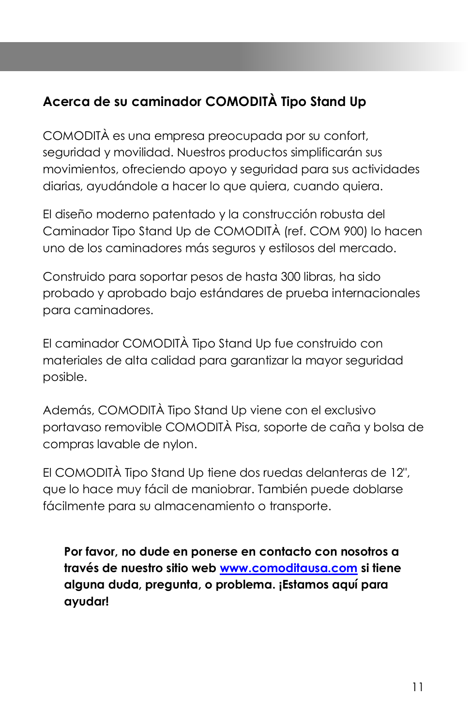# **Acerca de su caminador COMODITÀ Tipo Stand Up**

COMODITÀ es una empresa preocupada por su confort, seguridad y movilidad. Nuestros productos simplificarán sus movimientos, ofreciendo apoyo y seguridad para sus actividades diarias, ayudándole a hacer lo que quiera, cuando quiera.

El diseño moderno patentado y la construcción robusta del Caminador Tipo Stand Up de COMODITÀ (ref. COM 900) lo hacen uno de los caminadores más seguros y estilosos del mercado.

Construido para soportar pesos de hasta 300 libras, ha sido probado y aprobado bajo estándares de prueba internacionales para caminadores.

El caminador COMODITÀ Tipo Stand Up fue construido con materiales de alta calidad para garantizar la mayor seguridad posible.

Además, COMODITÀ Tipo Stand Up viene con el exclusivo portavaso removible COMODITÀ Pisa, soporte de caña y bolsa de compras lavable de nylon.

El COMODITÀ Tipo Stand Up tiene dos ruedas delanteras de 12", que lo hace muy fácil de maniobrar. También puede doblarse fácilmente para su almacenamiento o transporte.

**Por favor, no dude en ponerse en contacto con nosotros a través de nuestro sitio web [www.comoditausa.com](about:blank) si tiene alguna duda, pregunta, o problema. ¡Estamos aquí para ayudar!**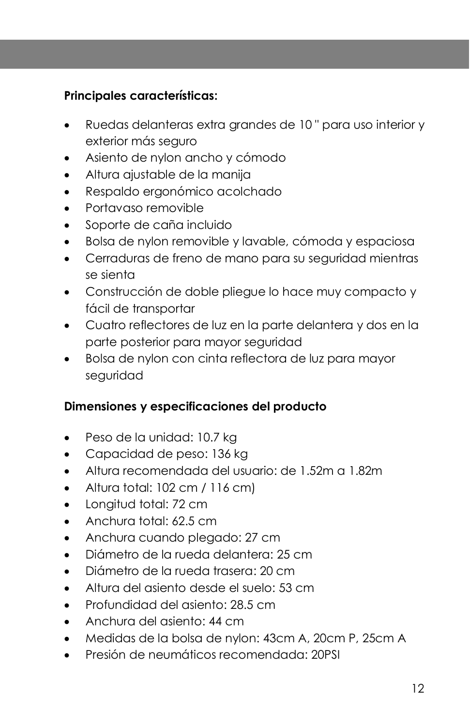## **Principales características:**

- Ruedas delanteras extra grandes de 10 " para uso interior y exterior más seguro
- Asiento de nylon ancho y cómodo
- Altura ajustable de la manija
- Respaldo ergonómico acolchado
- Portavaso removible
- Soporte de caña incluido
- Bolsa de nylon removible y lavable, cómoda y espaciosa
- Cerraduras de freno de mano para su seguridad mientras se sienta
- Construcción de doble pliegue lo hace muy compacto y fácil de transportar
- Cuatro reflectores de luz en la parte delantera y dos en la parte posterior para mayor seguridad
- Bolsa de nylon con cinta reflectora de luz para mayor seguridad

#### **Dimensiones y especificaciones del producto**

- Peso de la unidad: 10.7 kg
- Capacidad de peso: 136 kg
- Altura recomendada del usuario: de 1.52m a 1.82m
- Altura total: 102 cm / 116 cm)
- Longitud total: 72 cm
- Anchura total: 62.5 cm
- Anchura cuando plegado: 27 cm
- Diámetro de la rueda delantera: 25 cm
- Diámetro de la rueda trasera: 20 cm
- Altura del asiento desde el suelo: 53 cm
- Profundidad del asiento: 28.5 cm
- Anchura del asiento: 44 cm
- Medidas de la bolsa de nylon: 43cm A, 20cm P, 25cm A
- Presión de neumáticos recomendada: 20PSI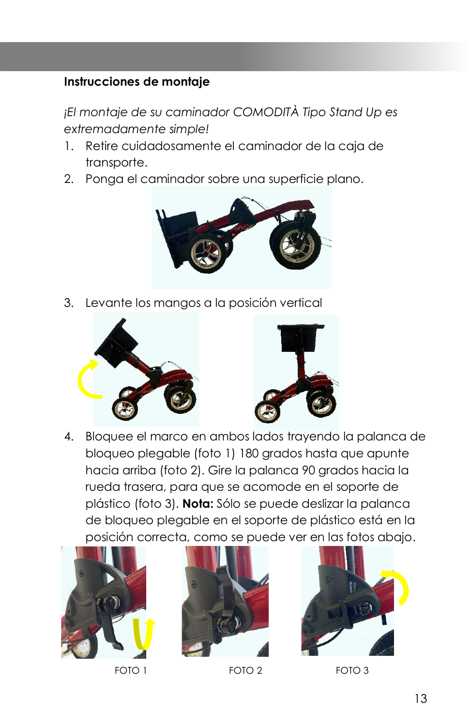#### **Instrucciones de montaje**

*¡El montaje de su caminador COMODITÀ Tipo Stand Up es extremadamente simple!*

- 1. Retire cuidadosamente el caminador de la caja de transporte.
- 2. Ponga el caminador sobre una superficie plano.



3. Levante los mangos a la posición vertical



4. Bloquee el marco en ambos lados trayendo la palanca de bloqueo plegable (foto 1) 180 grados hasta que apunte hacia arriba (foto 2). Gire la palanca 90 grados hacia la rueda trasera, para que se acomode en el soporte de plástico (foto 3). **Nota:** Sólo se puede deslizar la palanca de bloqueo plegable en el soporte de plástico está en la posición correcta, como se puede ver en las fotos abajo.







FOTO 1 FOTO 2 FOTO 3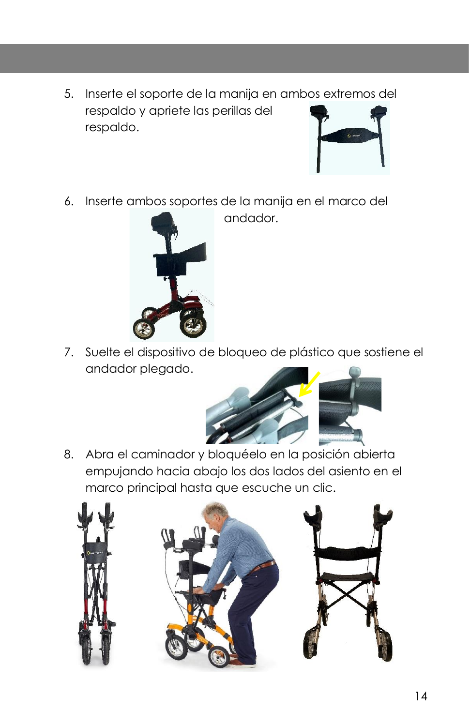5. Inserte el soporte de la manija en ambos extremos del respaldo y apriete las perillas del respaldo.



6. Inserte ambos soportes de la manija en el marco del

andador.



7. Suelte el dispositivo de bloqueo de plástico que sostiene el andador plegado.



8. Abra el caminador y bloquéelo en la posición abierta empujando hacia abajo los dos lados del asiento en el marco principal hasta que escuche un clic.

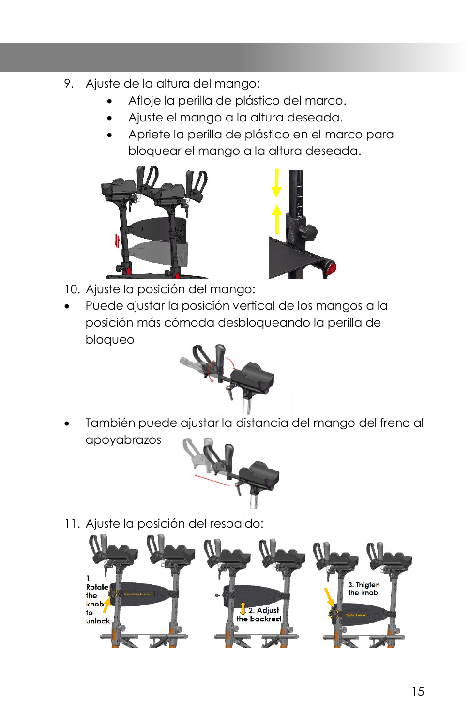- 9. Ajuste de la altura del mango:
	- Afloje la perilla de plástico del marco.
	- Ajuste el mango a la altura deseada.
	- Apriete la perilla de plástico en el marco para bloquear el mango a la altura deseada.





- 10. Ajuste la posición del mango:
- Puede ajustar la posición vertical de los mangos a la posición más cómoda desbloqueando la perilla de bloqueo



• También puede ajustar la distancia del mango del freno al apoyabrazos



11. Ajuste la posición del respaldo:

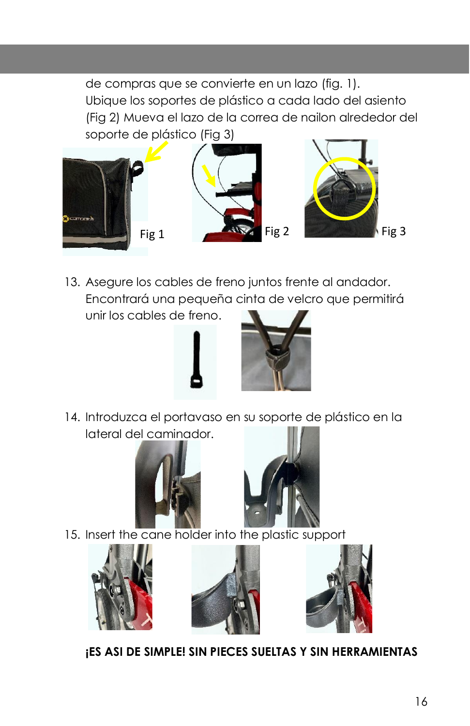de compras que se convierte en un lazo (fig. 1). Ubique los soportes de plástico a cada lado del asiento (Fig 2) Mueva el lazo de la correa de nailon alrededor del soporte de plástico (Fig 3)



13. Asegure los cables de freno juntos frente al andador. Encontrará una pequeña cinta de velcro que permitirá unir los cables de freno.



14. Introduzca el portavaso en su soporte de plástico en la lateral del caminador.





15. Insert the cane holder into the plastic support







**¡ES ASI DE SIMPLE! SIN PIECES SUELTAS Y SIN HERRAMIENTAS**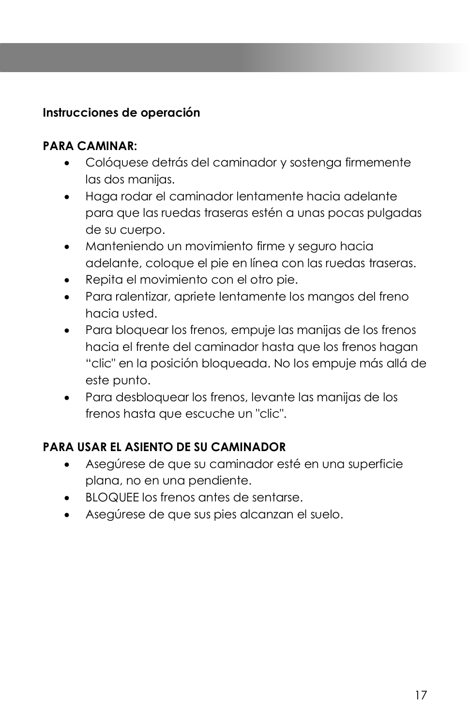## **Instrucciones de operación**

#### **PARA CAMINAR:**

- Colóquese detrás del caminador y sostenga firmemente las dos manijas.
- Haga rodar el caminador lentamente hacia adelante para que las ruedas traseras estén a unas pocas pulgadas de su cuerpo.
- Manteniendo un movimiento firme y seguro hacia adelante, coloque el pie en línea con las ruedas traseras.
- Repita el movimiento con el otro pie.
- Para ralentizar, apriete lentamente los mangos del freno hacia usted.
- Para bloquear los frenos, empuje las manijas de los frenos hacia el frente del caminador hasta que los frenos hagan "clic" en la posición bloqueada. No los empuje más allá de este punto.
- Para desbloquear los frenos, levante las manijas de los frenos hasta que escuche un "clic".

# **PARA USAR EL ASIENTO DE SU CAMINADOR**

- Asegúrese de que su caminador esté en una superficie plana, no en una pendiente.
- BLOQUEE los frenos antes de sentarse.
- Asegúrese de que sus pies alcanzan el suelo.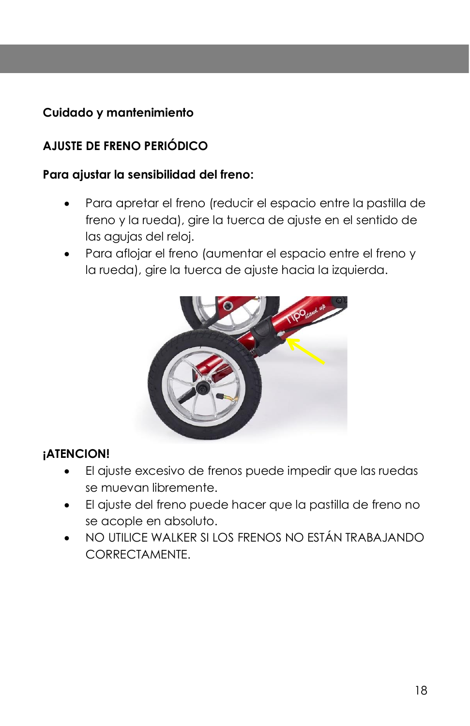# **Cuidado y mantenimiento**

# **AJUSTE DE FRENO PERIÓDICO**

#### **Para ajustar la sensibilidad del freno:**

- Para apretar el freno (reducir el espacio entre la pastilla de freno y la rueda), gire la tuerca de ajuste en el sentido de las agujas del reloj.
- Para aflojar el freno (aumentar el espacio entre el freno y la rueda), gire la tuerca de ajuste hacia la izquierda.



#### **¡ATENCION!**

- El ajuste excesivo de frenos puede impedir que las ruedas se muevan libremente.
- El ajuste del freno puede hacer que la pastilla de freno no se acople en absoluto.
- NO UTILICE WALKER SI LOS FRENOS NO ESTÁN TRABAJANDO CORRECTAMENTE.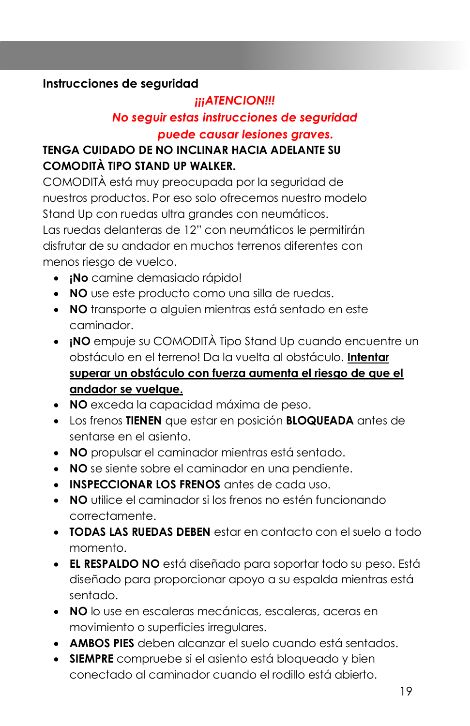#### **Instrucciones de seguridad**

# *¡¡¡ATENCION!!! No seguir estas instrucciones de seguridad puede causar lesiones graves.*

## **TENGA CUIDADO DE NO INCLINAR HACIA ADELANTE SU COMODITÀ TIPO STAND UP WALKER.**

COMODITÀ está muy preocupada por la seguridad de nuestros productos. Por eso solo ofrecemos nuestro modelo Stand Up con ruedas ultra grandes con neumáticos. Las ruedas delanteras de 12" con neumáticos le permitirán disfrutar de su andador en muchos terrenos diferentes con menos riesgo de vuelco.

- **¡No** camine demasiado rápido!
- **NO** use este producto como una silla de ruedas.
- **NO** transporte a alguien mientras está sentado en este caminador.
- **¡NO** empuje su COMODITÀ Tipo Stand Up cuando encuentre un obstáculo en el terreno! Da la vuelta al obstáculo. **Intentar superar un obstáculo con fuerza aumenta el riesgo de que el andador se vuelque.**
- **NO** exceda la capacidad máxima de peso.
- Los frenos **TIENEN** que estar en posición **BLOQUEADA** antes de sentarse en el asiento.
- **NO** propulsar el caminador mientras está sentado.
- **NO** se siente sobre el caminador en una pendiente.
- **INSPECCIONAR LOS FRENOS** antes de cada uso.
- **NO** utilice el caminador si los frenos no estén funcionando correctamente.
- **TODAS LAS RUEDAS DEBEN** estar en contacto con el suelo a todo momento.
- **EL RESPALDO NO** está diseñado para soportar todo su peso. Está diseñado para proporcionar apoyo a su espalda mientras está sentado.
- **NO** lo use en escaleras mecánicas, escaleras, aceras en movimiento o superficies irregulares.
- **AMBOS PIES** deben alcanzar el suelo cuando está sentados.
- **SIEMPRE** compruebe si el asiento está bloqueado y bien conectado al caminador cuando el rodillo está abierto.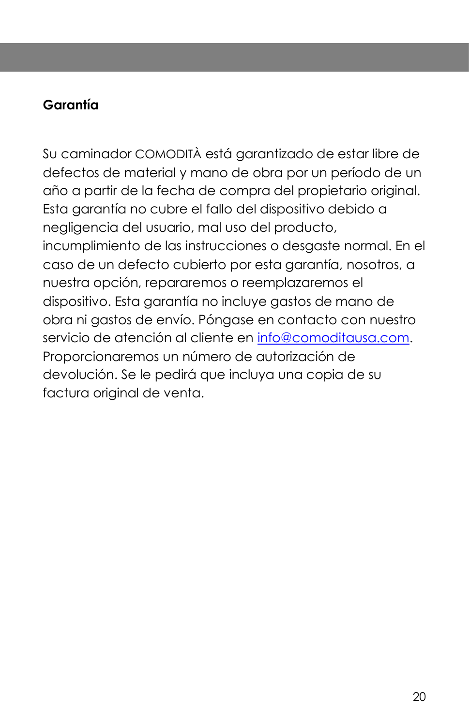# **Garantía**

Su caminador COMODITÀ está garantizado de estar libre de defectos de material y mano de obra por un período de un año a partir de la fecha de compra del propietario original. Esta garantía no cubre el fallo del dispositivo debido a negligencia del usuario, mal uso del producto, incumplimiento de las instrucciones o desgaste normal. En el caso de un defecto cubierto por esta garantía, nosotros, a nuestra opción, repararemos o reemplazaremos el dispositivo. Esta garantía no incluye gastos de mano de obra ni gastos de envío. Póngase en contacto con nuestro servicio de atención al cliente en [info@comoditausa.com.](about:blank) Proporcionaremos un número de autorización de devolución. Se le pedirá que incluya una copia de su factura original de venta.